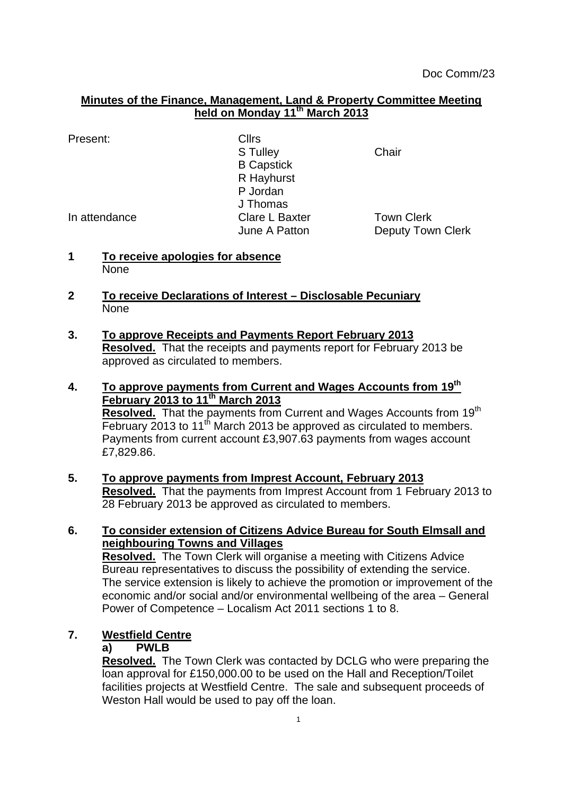#### **Minutes of the Finance, Management, Land & Property Committee Meeting held on Monday 11th March 2013**

| Present: | <b>Cllrs</b> |
|----------|--------------|
|          |              |

S Tulley **Chair** B Capstick R Hayhurst P Jordan J Thomas In attendance Clare L Baxter Town Clerk

June A Patton **Deputy Town Clerk** 

- **1 To receive apologies for absence** None
- **2 To receive Declarations of Interest – Disclosable Pecuniary None**
- **3. To approve Receipts and Payments Report February 2013 Resolved.** That the receipts and payments report for February 2013 be approved as circulated to members.
- **4. To approve payments from Current and Wages Accounts from 19th February 2013 to 11th March 2013 Resolved.** That the payments from Current and Wages Accounts from 19<sup>th</sup> February 2013 to 11<sup>th</sup> March 2013 be approved as circulated to members. Payments from current account £3,907.63 payments from wages account £7,829.86.
- **5. To approve payments from Imprest Account, February 2013 Resolved.** That the payments from Imprest Account from 1 February 2013 to 28 February 2013 be approved as circulated to members.

# **6. To consider extension of Citizens Advice Bureau for South Elmsall and neighbouring Towns and Villages**

**Resolved.** The Town Clerk will organise a meeting with Citizens Advice Bureau representatives to discuss the possibility of extending the service. The service extension is likely to achieve the promotion or improvement of the economic and/or social and/or environmental wellbeing of the area – General Power of Competence – Localism Act 2011 sections 1 to 8.

# **7. Westfield Centre**

# **a) PWLB**

**Resolved.** The Town Clerk was contacted by DCLG who were preparing the loan approval for £150,000.00 to be used on the Hall and Reception/Toilet facilities projects at Westfield Centre. The sale and subsequent proceeds of Weston Hall would be used to pay off the loan.